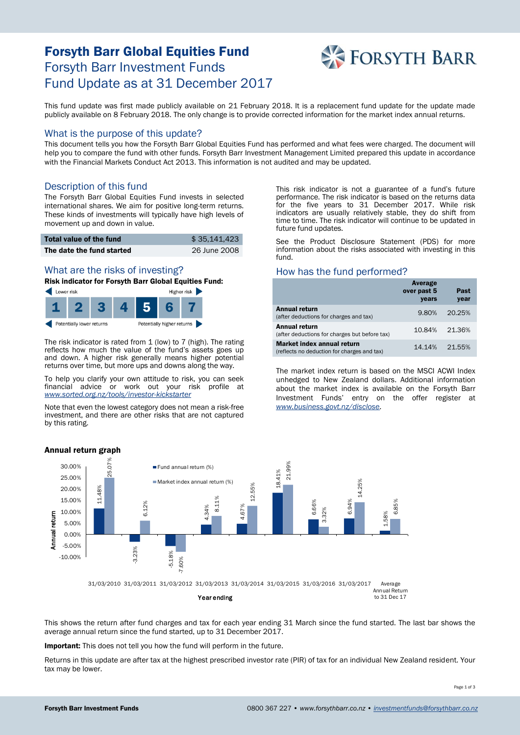# Forsyth Barr Global Equities Fund Forsyth Barr Investment Funds Fund Update as at 31 December 2017



This fund update was first made publicly available on 21 February 2018. It is a replacement fund update for the update made publicly available on 8 February 2018. The only change is to provide corrected information for the market index annual returns.

#### What is the purpose of this update?

This document tells you how the Forsyth Barr Global Equities Fund has performed and what fees were charged. The document will help you to compare the fund with other funds. Forsyth Barr Investment Management Limited prepared this update in accordance with the Financial Markets Conduct Act 2013. This information is not audited and may be updated.

## Description of this fund

The Forsyth Barr Global Equities Fund invests in selected international shares. We aim for positive long-term returns. These kinds of investments will typically have high levels of movement up and down in value.

| Total value of the fund   | \$35.141.423 |
|---------------------------|--------------|
| The date the fund started | 26 June 2008 |

#### What are the risks of investing?

Risk indicator for Forsyth Barr Global Equities Fund:



The risk indicator is rated from 1 (low) to 7 (high). The rating reflects how much the value of the fund's assets goes up and down. A higher risk generally means higher potential returns over time, but more ups and downs along the way.

To help you clarify your own attitude to risk, you can seek financial advice or work out your risk profile at *[www.sorted.org.nz/tools/investor-kickstarter](http://www.sorted.org.nz/tools/investor-kickstarter)*

Note that even the lowest category does not mean a risk-free investment, and there are other risks that are not captured by this rating.

This risk indicator is not a guarantee of a fund's future performance. The risk indicator is based on the returns data for the five years to 31 December 2017. While risk indicators are usually relatively stable, they do shift from time to time. The risk indicator will continue to be updated in future fund updates.

See the Product Disclosure Statement (PDS) for more information about the risks associated with investing in this fund.

## How has the fund performed?

|                                                                           | Average<br>over past 5<br>years | Past<br>year |
|---------------------------------------------------------------------------|---------------------------------|--------------|
| <b>Annual return</b><br>(after deductions for charges and tax)            | 9.80%                           | 20.25%       |
| <b>Annual return</b><br>(after deductions for charges but before tax)     | 10.84%                          | 21.36%       |
| Market index annual return<br>(reflects no deduction for charges and tax) | 14.14%                          | 21.55%       |

The market index return is based on the MSCI ACWI Index unhedged to New Zealand dollars. Additional information about the market index is available on the Forsyth Barr Investment Funds' entry on the offer register at *[www.business.govt.nz/disclose.](http://www.business.govt.nz/disclose)*



This shows the return after fund charges and tax for each year ending 31 March since the fund started. The last bar shows the average annual return since the fund started, up to 31 December 2017.

Important: This does not tell you how the fund will perform in the future.

Returns in this update are after tax at the highest prescribed investor rate (PIR) of tax for an individual New Zealand resident. Your tax may be lower.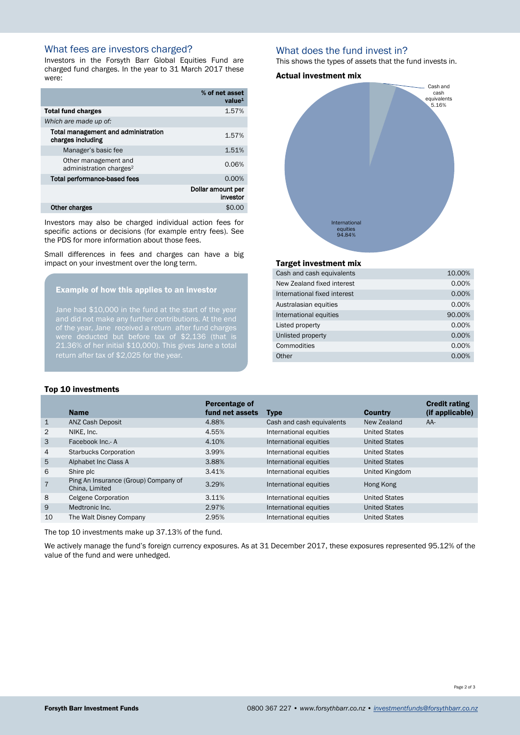# What fees are investors charged?

Investors in the Forsyth Barr Global Equities Fund are charged fund charges. In the year to 31 March 2017 these were:

|                                                             | % of net asset<br>value <sup>1</sup> |
|-------------------------------------------------------------|--------------------------------------|
| <b>Total fund charges</b>                                   | 1.57%                                |
| Which are made up of:                                       |                                      |
| Total management and administration<br>charges including    | 1.57%                                |
| Manager's basic fee                                         | 1.51%                                |
| Other management and<br>administration charges <sup>2</sup> | 0.06%                                |
| <b>Total performance-based fees</b>                         | 0.00%                                |
|                                                             | Dollar amount per<br>investor        |
| Other charges                                               | \$0.0                                |

Investors may also be charged individual action fees for specific actions or decisions (for example entry fees). See the PDS for more information about those fees.

Small differences in fees and charges can have a big impact on your investment over the long term.

#### Example of how this applies to an investor

Jane had \$10,000 in the fund at the start of the year of the year, Jane received a return after fund charges 21.36% of her initial \$10,000). This gives Jane a total return after tax of \$2,025 for the year.

### What does the fund invest in?

This shows the types of assets that the fund invests in.

#### Actual investment mix



#### Target investment mix

| Cash and cash equivalents    | 10.00% |
|------------------------------|--------|
| New Zealand fixed interest   | 0.00%  |
| International fixed interest | 0.00%  |
| Australasian equities        | 0.00%  |
| International equities       | 90.00% |
| Listed property              | 0.00%  |
| Unlisted property            | 0.00%  |
| Commodities                  | 0.00%  |
| Other                        | 0.00%  |
|                              |        |

#### Top 10 investments

|                | <b>Name</b>                                            | Percentage of<br>fund net assets | <b>Type</b>               | <b>Country</b>       | <b>Credit rating</b><br>(if applicable) |
|----------------|--------------------------------------------------------|----------------------------------|---------------------------|----------------------|-----------------------------------------|
| $\mathbf{1}$   | <b>ANZ Cash Deposit</b>                                | 4.88%                            | Cash and cash equivalents | New Zealand          | AA-                                     |
| 2              | NIKE, Inc.                                             | 4.55%                            | International equities    | <b>United States</b> |                                         |
| 3              | Facebook Inc.- A                                       | 4.10%                            | International equities    | <b>United States</b> |                                         |
| 4              | <b>Starbucks Corporation</b>                           | 3.99%                            | International equities    | <b>United States</b> |                                         |
| 5              | Alphabet Inc Class A                                   | 3.88%                            | International equities    | <b>United States</b> |                                         |
| 6              | Shire plc                                              | 3.41%                            | International equities    | United Kingdom       |                                         |
| $\overline{7}$ | Ping An Insurance (Group) Company of<br>China, Limited | 3.29%                            | International equities    | Hong Kong            |                                         |
| 8              | <b>Celgene Corporation</b>                             | 3.11%                            | International equities    | United States        |                                         |
| 9              | Medtronic Inc.                                         | 2.97%                            | International equities    | <b>United States</b> |                                         |
| 10             | The Walt Disney Company                                | 2.95%                            | International equities    | United States        |                                         |
|                |                                                        |                                  |                           |                      |                                         |

The top 10 investments make up 37.13% of the fund.

We actively manage the fund's foreign currency exposures. As at 31 December 2017, these exposures represented 95.12% of the value of the fund and were unhedged.